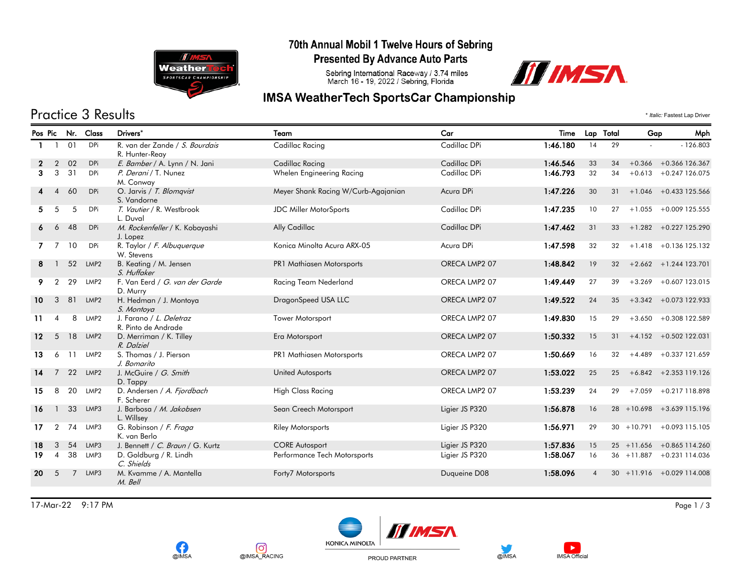

#### 70th Annual Mobil 1 Twelve Hours of Sebring

**Presented By Advance Auto Parts** 

Sebring International Raceway / 3.74 miles<br>March 16 - 19, 2022 / Sebring, Florida



## **IMSA WeatherTech SportsCar Championship**

Practice 3 Results \* *Italic:* Fastest Lap Driver

| Pos Pic         |                          | Nr.            | Class            | Drivers*                                         | Team                                | Car            | Time     | Lap Total |    | Gap           | Mph                          |
|-----------------|--------------------------|----------------|------------------|--------------------------------------------------|-------------------------------------|----------------|----------|-----------|----|---------------|------------------------------|
|                 |                          | 01             | <b>DPi</b>       | R. van der Zande / S. Bourdais<br>R. Hunter-Reay | Cadillac Racing                     | Cadillac DPi   | 1:46.180 | 14        | 29 |               | $-126.803$                   |
|                 | $\overline{2}$           | 02             | <b>DPi</b>       | E. Bamber / A. Lynn / N. Jani                    | Cadillac Racing                     | Cadillac DPi   | 1:46.546 | 33        | 34 |               | $+0.366 + 0.366$ 126.367     |
| 3               | 3                        | 31             | <b>DPi</b>       | P. Derani / T. Nunez<br>M. Conway                | Whelen Engineering Racing           | Cadillac DPi   | 1:46.793 | 32        | 34 |               | $+0.613 + 0.247126.075$      |
|                 | $\boldsymbol{\Lambda}$   | 60             | <b>DPi</b>       | O. Jarvis / T. Blomqvist<br>S. Vandorne          | Meyer Shank Racing W/Curb-Agajanian | Acura DPi      | 1:47.226 | 30        | 31 |               | $+1.046 + 0.433125.566$      |
| 5               | 5                        | 5              | <b>DPi</b>       | T. Vautier / R. Westbrook<br>L. Duval            | <b>JDC Miller MotorSports</b>       | Cadillac DPi   | 1:47.235 | 10        | 27 |               | $+1.055 + 0.009$ 125.555     |
| 6               | 6                        | 48             | <b>DPi</b>       | M. Rockenfeller / K. Kobayashi<br>J. Lopez       | Ally Cadillac                       | Cadillac DPi   | 1:47.462 | 31        | 33 |               | $+1.282 + 0.227125.290$      |
|                 | 7                        | 10             | <b>DPi</b>       | R. Taylor / F. Albuquerque<br>W. Stevens         | Konica Minolta Acura ARX-05         | Acura DPi      | 1:47.598 | 32        | 32 |               | $+1.418 + 0.136125.132$      |
| 8               |                          | 52             | LMP <sub>2</sub> | B. Keating / M. Jensen<br>S. Huffaker            | PR1 Mathiasen Motorsports           | ORECA LMP2 07  | 1:48.842 | 19        | 32 |               | $+2.662 + 1.244$ 123.701     |
| 9.              | $\overline{2}$           | 29             | LMP <sub>2</sub> | F. Van Eerd / G. van der Garde<br>D. Murry       | Racing Team Nederland               | ORECA LMP2 07  | 1:49.449 | 27        | 39 | $+3.269$      | +0.607 123.015               |
| 10 <sup>°</sup> | 3                        | 81             | LMP <sub>2</sub> | H. Hedman / J. Montoya<br>S. Montoya             | DragonSpeed USA LLC                 | ORECA LMP2 07  | 1:49.522 | 24        | 35 |               | $+3.342 + 0.073$ 122.933     |
| 11              | $\overline{\mathcal{A}}$ | 8              | LMP <sub>2</sub> | J. Farano / L. Deletraz<br>R. Pinto de Andrade   | <b>Tower Motorsport</b>             | ORECA LMP2 07  | 1:49.830 | 15        | 29 |               | $+3.650 + 0.308$ 122.589     |
| 12 <sup>°</sup> | 5                        | 18             | LMP <sub>2</sub> | D. Merriman / K. Tilley<br>R. Dalziel            | Era Motorsport                      | ORECA LMP2 07  | 1:50.332 | 15        | 31 |               | $+4.152 + 0.502$ 122.031     |
| 13              | 6                        | 11             | LMP <sub>2</sub> | S. Thomas / J. Pierson<br>J. Bomarito            | PR1 Mathiasen Motorsports           | ORECA LMP2 07  | 1:50.669 | 16        | 32 |               | $+4.489 + 0.337121.659$      |
| 14              | 7                        | 22             | LMP <sub>2</sub> | J. McGuire / G. Smith<br>D. Tappy                | <b>United Autosports</b>            | ORECA LMP2 07  | 1:53.022 | 25        | 25 |               | $+6.842 + 2.353$ 119.126     |
| 15              | 8                        | 20             | LMP <sub>2</sub> | D. Andersen / A. Fjordbach<br>F. Scherer         | <b>High Class Racing</b>            | ORECA LMP2 07  | 1:53.239 | 24        | 29 |               | $+7.059 + 0.217118.898$      |
| 16              | $\mathbf{1}$             | 33             | LMP3             | J. Barbosa / M. Jakobsen<br>L. Willsey           | Sean Creech Motorsport              | Ligier JS P320 | 1:56.878 | 16        |    |               | $28 + 10.698 + 3.639115.196$ |
| 17              | $\overline{2}$           | 74             | LMP3             | G. Robinson / F. Fraga<br>K. van Berlo           | <b>Riley Motorsports</b>            | Ligier JS P320 | 1:56.971 | 29        |    | $30 + 10.791$ | +0.093 115.105               |
| 18              | 3                        | 54             | LMP3             | J. Bennett / C. Braun / G. Kurtz                 | <b>CORE Autosport</b>               | Ligier JS P320 | 1:57.836 | 15        |    |               | $25 + 11.656 + 0.865114.260$ |
| 19              | $\overline{4}$           | 38             | LMP3             | D. Goldburg / R. Lindh<br>C. Shields             | Performance Tech Motorsports        | Ligier JS P320 | 1:58.067 | 16        |    |               | 36 +11.887 +0.231 114.036    |
| 20              | 5                        | $\overline{7}$ | LMP3             | M. Kvamme / A. Mantella<br>M. Bell               | Forty7 Motorsports                  | Duqueine D08   | 1:58.096 |           |    |               | $30 + 11.916 + 0.029114.008$ |

17-Mar-22 9:17 PM Page 1 / 3







PROUD PARTNER



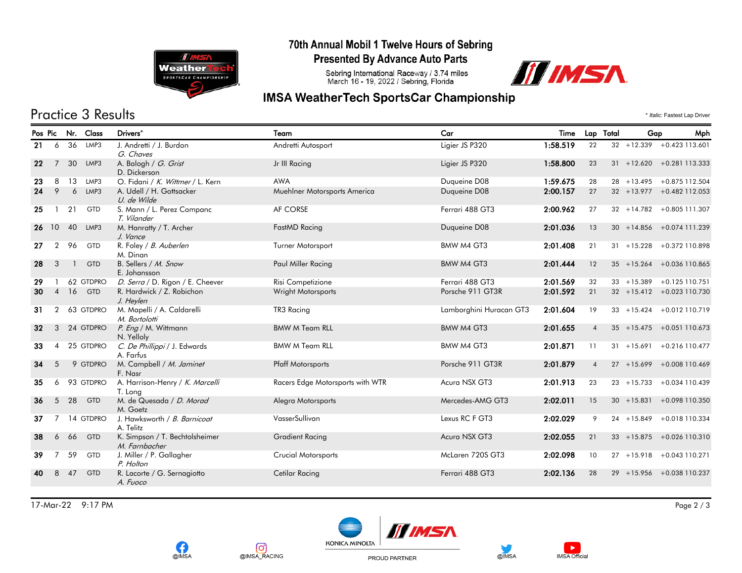

### 70th Annual Mobil 1 Twelve Hours of Sebring

**Presented By Advance Auto Parts** 

Sebring International Raceway / 3.74 miles<br>March 16 - 19, 2022 / Sebring, Florida



## **IMSA WeatherTech SportsCar Championship**

# Practice 3 Results \* *Italic:* Fastest Lap Driver

| Pos Pic         |                |              | Nr. Class  | Drivers*                                          | Team                             | Car                     | Time     | Lap Total      | Gap | Mph                           |
|-----------------|----------------|--------------|------------|---------------------------------------------------|----------------------------------|-------------------------|----------|----------------|-----|-------------------------------|
| 21              | 6              | 36           | LMP3       | J. Andretti / J. Burdon                           | Andretti Autosport               | Ligier JS P320          | 1:58.519 | 22             |     | $32 + 12.339 + 0.423113.601$  |
| 22              | $\overline{7}$ | 30           | LMP3       | G. Chaves<br>A. Balogh / G. Grist<br>D. Dickerson | Jr III Racing                    | Ligier JS P320          | 1:58.800 | 23             |     | $31 + 12.620 + 0.281113.333$  |
| 23              | 8              | 13           | LMP3       | O. Fidani / K. Wittmer / L. Kern                  | <b>AWA</b>                       | Duqueine D08            | 1:59.675 | 28             |     | 28 +13.495 +0.875 112.504     |
| 24              | 9              | 6            | LMP3       | A. Udell / H. Gottsacker<br>U. de Wilde           | Muehlner Motorsports America     | Duqueine D08            | 2:00.157 | 27             |     | $32 + 13.977 + 0.482$ 112.053 |
| 25              | $\mathbf{1}$   | 21           | GTD        | S. Mann / L. Perez Companc<br>T. Vilander         | AF CORSE                         | Ferrari 488 GT3         | 2:00.962 | 27             |     | $32 + 14.782 + 0.805111.307$  |
| 26              | 10             | 40           | LMP3       | M. Hanratty / T. Archer<br>J. Vance               | FastMD Racing                    | Duqueine D08            | 2:01.036 | 13             |     | $30 + 14.856 + 0.074111.239$  |
| 27              | $\overline{2}$ | 96           | GTD        | R. Foley / B. Auberlen<br>M. Dinan                | Turner Motorsport                | BMW M4 GT3              | 2:01.408 | 21             |     | $31 + 15.228 + 0.372110.898$  |
| 28              | 3              | $\mathbf{1}$ | <b>GTD</b> | B. Sellers / M. Snow<br>E. Johansson              | Paul Miller Racing               | BMW M4 GT3              | 2:01.444 | 12             |     | 35 +15.264 +0.036 110.865     |
| 29              |                |              | 62 GTDPRO  | D. Serra / D. Rigon / E. Cheever                  | Risi Competizione                | Ferrari 488 GT3         | 2:01.569 | 32             |     | $33 + 15.389 + 0.125110.751$  |
| 30              | $\overline{4}$ | 16           | <b>GTD</b> | R. Hardwick / Z. Robichon<br>J. Heylen            | <b>Wright Motorsports</b>        | Porsche 911 GT3R        | 2:01.592 | 21             |     | $32 + 15.412 + 0.023110.730$  |
| 31              | $\overline{2}$ |              | 63 GTDPRO  | M. Mapelli / A. Caldarelli<br>M. Bortolotti       | TR3 Racing                       | Lamborghini Huracan GT3 | 2:01.604 | 19             |     | $33 + 15.424 + 0.012110.719$  |
| 32 <sub>2</sub> | 3              |              | 24 GTDPRO  | P. Eng / M. Wittmann<br>N. Yelloly                | <b>BMW M Team RLL</b>            | BMW M4 GT3              | 2:01.655 | $\overline{4}$ |     | $35 + 15.475 + 0.051110.673$  |
| 33              | $\overline{4}$ |              | 25 GTDPRO  | C. De Phillippi / J. Edwards<br>A. Farfus         | <b>BMW M Team RLL</b>            | BMW M4 GT3              | 2:01.871 | 11             |     | $31 + 15.691 + 0.216110.477$  |
| 34              | 5              |              | 9 GTDPRO   | M. Campbell / M. Jaminet<br>F. Nasr               | <b>Pfaff Motorsports</b>         | Porsche 911 GT3R        | 2:01.879 | $\overline{4}$ |     | 27 +15.699 +0.008 110.469     |
| 35              | 6              |              | 93 GTDPRO  | A. Harrison-Henry / K. Marcelli<br>T. Long        | Racers Edge Motorsports with WTR | Acura NSX GT3           | 2:01.913 | 23             |     | $23 + 15.733 + 0.034110.439$  |
| 36              | 5              | 28           | GTD        | M. de Quesada / D. Morad<br>M. Goetz              | Alegra Motorsports               | Mercedes-AMG GT3        | 2:02.011 | 15             |     | $30 + 15.831 + 0.098110.350$  |
| 37              |                |              | 14 GTDPRO  | J. Hawksworth / B. Barnicoat<br>A. Telitz         | VasserSullivan                   | Lexus RC F GT3          | 2:02.029 | 9              |     | 24 +15.849 +0.018 110.334     |
| 38              | 6              | 66           | <b>GTD</b> | K. Simpson / T. Bechtolsheimer<br>M. Farnbacher   | <b>Gradient Racing</b>           | Acura NSX GT3           | 2:02.055 | 21             |     | $33 + 15.875 + 0.026110.310$  |
| 39              |                | 59           | GTD        | J. Miller / P. Gallagher<br>P. Holton             | <b>Crucial Motorsports</b>       | McLaren 720S GT3        | 2:02.098 | 10             |     | 27 +15.918 +0.043 110.271     |
| 40              | 8              | 47           | <b>GTD</b> | R. Lacorte / G. Sernagiotto<br>A. Fuoco           | Cetilar Racing                   | Ferrari 488 GT3         | 2:02.136 | 28             |     | 29 +15.956 +0.038 110.237     |
|                 |                |              |            |                                                   |                                  |                         |          |                |     |                               |

17-Mar-22 9:17 PM Page 2 / 3